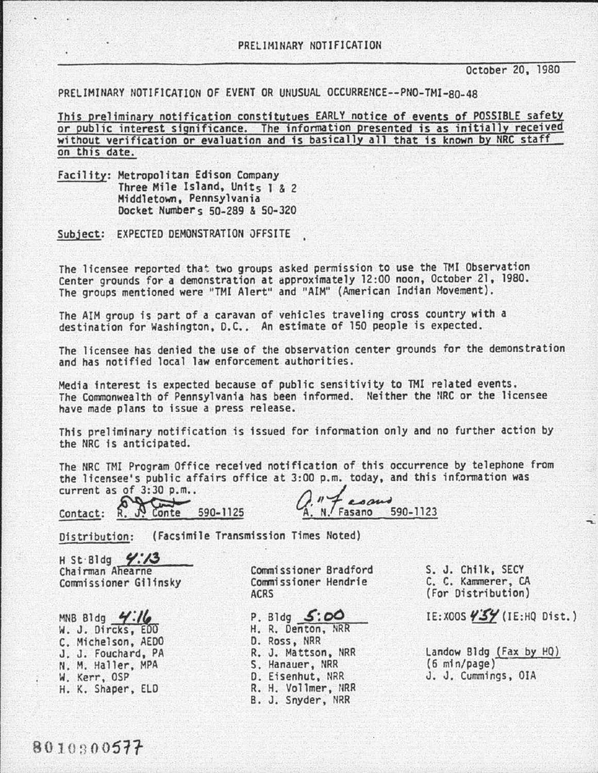---------~----------------------------------

October 20, 1980

PRELIMINARY NOTIFICATION OF EVENT OR UNUSUAL OCCURRENCE--PNO-TMI-80-48

This preliminary notification constitutues EARLY notice of events of POSSIBLE safety or public interest significance. The information presented is as initially received without verification or evaluation and is basically all that is known by NRC staff on this date.

Facility: Metropolitan Edison Company Three Mile Island, Units 1 & 2 Middletown, Pennsylvania Docket Numbers 50-289 & 50-320

Subject: EXPECTED DEMONSTRATION JFFSITE

The licensee reported that two groups asked permission to use the TMI Observation Center grounds for a demonstration at approximately 12:00 noon, October 21, 1980. The groups mentioned were "TI11 Alert" and "AIM" (American Indian Movement).

The AIM group is part of a caravan of vehicles traveling cross country with a destination for Washington, D.C.. An estimate of 150 people is expected.

The licensee has denied the use of the observation center grounds for the demonstration and has notified local law enforcement authorities.

Media interest is expected because of public sensitivity to TMI related events. The Commonwealth of Pennsylvania has been informed. Neither the NRC or the licensee have made plans to issue a press release.

This preliminary notification is issued for information only and no further action by the NRC fs anticipated.

The NRC TMI Program Office received notification of this occurrence by telephone from The NRC TMI Program Office received notification of this occurrence by telephone<br>the licensee's public affairs office at 3:00 p.m. today, and this information was<br>current as of 3:30 p.m.. The NRC TMI Program Office received notification of this occurrent<br>the licensee's public affairs office at 3:00 p.m. today, and this<br>current as of 3:30 p.m..<br>Contact: R. Conte 590-1125

 $\overline{N}$   $\overline{F}$   $\overline{F}$   $\overline{F}$   $\overline{F}$   $\overline{F}$   $\overline{F}$   $\overline{F}$   $\overline{F}$   $\overline{F}$   $\overline{F}$   $\overline{F}$   $\overline{F}$   $\overline{F}$   $\overline{F}$   $\overline{F}$   $\overline{F}$   $\overline{F}$   $\overline{F}$   $\overline{F}$   $\overline{F}$   $\overline{F}$   $\overline{F}$   $\overline{F}$   $\overline{$ 

Distribution: (Facsimile Transmission Times Noted)

H St·Bldg **7:73**<br>Chairman Ahearne Commissioner Gilinsky

MNB Bldg  $4:16$ W. J. Dircks, EDO C. Michelson, AEDO J. J. Fouchard, PA N. M. Haller, MPA W. Kerr, OSP H. K. Shaper, ELD

Commissioner Bradford Commissioner Hendrie ACRS

P. Bldg  $5:00$ H. R. Denton, NRR D. Ross, NRR R. J. Mattson, NRR S. Hanauer, NRR D. Eisenhut, NRR R. H. Vollmer, NRR B. J. Snyder, NRR

S. J. Chilk, SECY C. C. Kammerer, CA (For Distribution)

IE:XOOS  $\frac{\sqrt{5}}{10}$  (IE:HQ Dist.)

Landow Bldg (Fax by HQ)<br>(6 min/page) J. J. Cummings, OIA